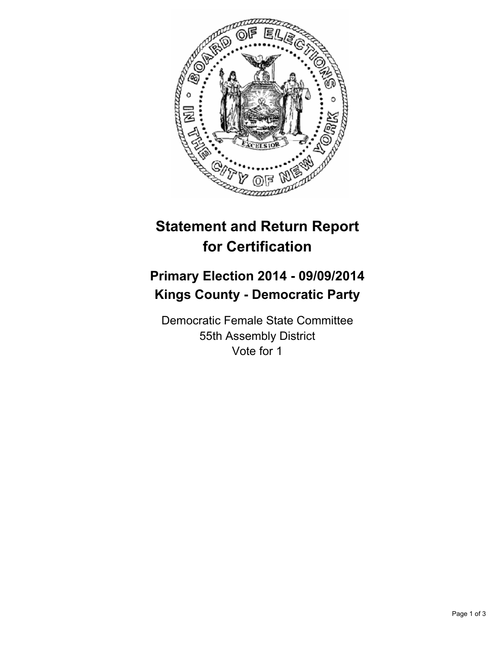

## **Statement and Return Report for Certification**

## **Primary Election 2014 - 09/09/2014 Kings County - Democratic Party**

Democratic Female State Committee 55th Assembly District Vote for 1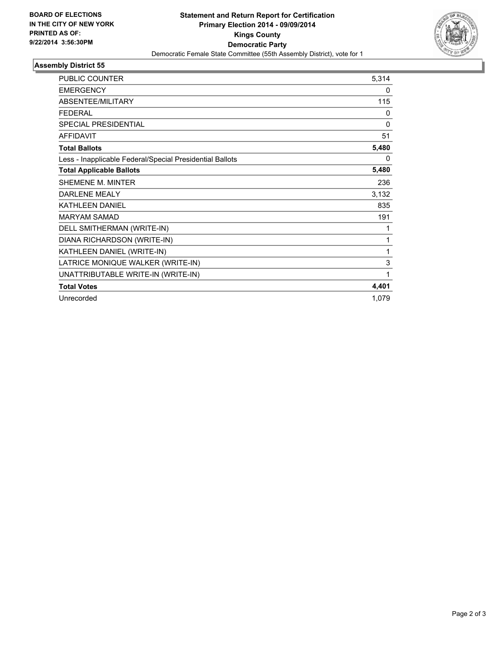

## **Assembly District 55**

| <b>PUBLIC COUNTER</b>                                    | 5,314       |
|----------------------------------------------------------|-------------|
| <b>EMERGENCY</b>                                         | 0           |
| <b>ABSENTEE/MILITARY</b>                                 | 115         |
| <b>FEDERAL</b>                                           | 0           |
| <b>SPECIAL PRESIDENTIAL</b>                              | $\mathbf 0$ |
| <b>AFFIDAVIT</b>                                         | 51          |
| <b>Total Ballots</b>                                     | 5,480       |
| Less - Inapplicable Federal/Special Presidential Ballots | 0           |
| <b>Total Applicable Ballots</b>                          | 5,480       |
| <b>SHEMENE M. MINTER</b>                                 | 236         |
| <b>DARLENE MEALY</b>                                     | 3,132       |
| <b>KATHLEEN DANIEL</b>                                   | 835         |
| <b>MARYAM SAMAD</b>                                      | 191         |
| DELL SMITHERMAN (WRITE-IN)                               | 1           |
| DIANA RICHARDSON (WRITE-IN)                              | 1           |
| KATHLEEN DANIEL (WRITE-IN)                               | 1           |
| LATRICE MONIQUE WALKER (WRITE-IN)                        | 3           |
| UNATTRIBUTABLE WRITE-IN (WRITE-IN)                       | 1           |
| <b>Total Votes</b>                                       | 4,401       |
| Unrecorded                                               | 1,079       |